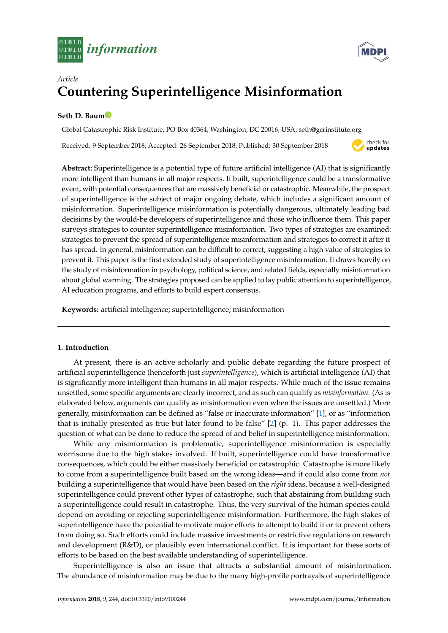



# *Article* **Countering Superintelligence Misinformation**

# **Seth D. Bau[m](https://orcid.org/0000-0002-2429-5232)**

Global Catastrophic Risk Institute, PO Box 40364, Washington, DC 20016, USA; seth@gcrinstitute.org

Received: 9 September 2018; Accepted: 26 September 2018; Published: 30 September 2018



**Abstract:** Superintelligence is a potential type of future artificial intelligence (AI) that is significantly more intelligent than humans in all major respects. If built, superintelligence could be a transformative event, with potential consequences that are massively beneficial or catastrophic. Meanwhile, the prospect of superintelligence is the subject of major ongoing debate, which includes a significant amount of misinformation. Superintelligence misinformation is potentially dangerous, ultimately leading bad decisions by the would-be developers of superintelligence and those who influence them. This paper surveys strategies to counter superintelligence misinformation. Two types of strategies are examined: strategies to prevent the spread of superintelligence misinformation and strategies to correct it after it has spread. In general, misinformation can be difficult to correct, suggesting a high value of strategies to prevent it. This paper is the first extended study of superintelligence misinformation. It draws heavily on the study of misinformation in psychology, political science, and related fields, especially misinformation about global warming. The strategies proposed can be applied to lay public attention to superintelligence, AI education programs, and efforts to build expert consensus.

**Keywords:** artificial intelligence; superintelligence; misinformation

# **1. Introduction**

At present, there is an active scholarly and public debate regarding the future prospect of artificial superintelligence (henceforth just *superintelligence*), which is artificial intelligence (AI) that is significantly more intelligent than humans in all major respects. While much of the issue remains unsettled, some specific arguments are clearly incorrect, and as such can qualify as *misinformation.* (As is elaborated below, arguments can qualify as misinformation even when the issues are unsettled.) More generally, misinformation can be defined as "false or inaccurate information" [\[1\]](#page-14-0), or as "information that is initially presented as true but later found to be false" [\[2\]](#page-14-1) (p. 1). This paper addresses the question of what can be done to reduce the spread of and belief in superintelligence misinformation.

While any misinformation is problematic, superintelligence misinformation is especially worrisome due to the high stakes involved. If built, superintelligence could have transformative consequences, which could be either massively beneficial or catastrophic. Catastrophe is more likely to come from a superintelligence built based on the wrong ideas—and it could also come from *not* building a superintelligence that would have been based on the *right* ideas, because a well-designed superintelligence could prevent other types of catastrophe, such that abstaining from building such a superintelligence could result in catastrophe. Thus, the very survival of the human species could depend on avoiding or rejecting superintelligence misinformation. Furthermore, the high stakes of superintelligence have the potential to motivate major efforts to attempt to build it or to prevent others from doing so. Such efforts could include massive investments or restrictive regulations on research and development (R&D), or plausibly even international conflict. It is important for these sorts of efforts to be based on the best available understanding of superintelligence.

Superintelligence is also an issue that attracts a substantial amount of misinformation. The abundance of misinformation may be due to the many high-profile portrayals of superintelligence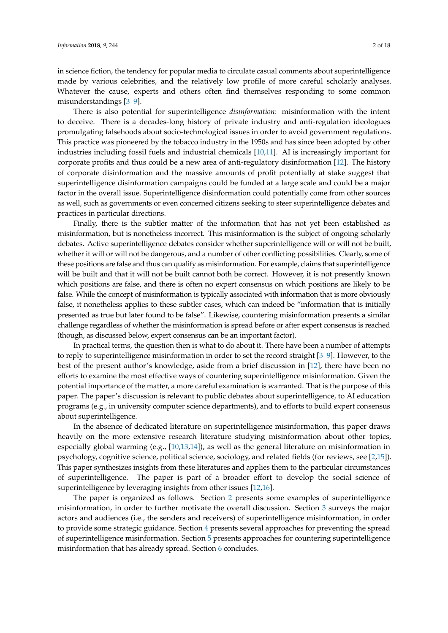in science fiction, the tendency for popular media to circulate casual comments about superintelligence made by various celebrities, and the relatively low profile of more careful scholarly analyses. Whatever the cause, experts and others often find themselves responding to some common misunderstandings [\[3–](#page-14-2)[9\]](#page-14-3).

There is also potential for superintelligence *disinformation*: misinformation with the intent to deceive. There is a decades-long history of private industry and anti-regulation ideologues promulgating falsehoods about socio-technological issues in order to avoid government regulations. This practice was pioneered by the tobacco industry in the 1950s and has since been adopted by other industries including fossil fuels and industrial chemicals [\[10](#page-14-4)[,11\]](#page-14-5). AI is increasingly important for corporate profits and thus could be a new area of anti-regulatory disinformation [\[12\]](#page-14-6). The history of corporate disinformation and the massive amounts of profit potentially at stake suggest that superintelligence disinformation campaigns could be funded at a large scale and could be a major factor in the overall issue. Superintelligence disinformation could potentially come from other sources as well, such as governments or even concerned citizens seeking to steer superintelligence debates and practices in particular directions.

Finally, there is the subtler matter of the information that has not yet been established as misinformation, but is nonetheless incorrect. This misinformation is the subject of ongoing scholarly debates. Active superintelligence debates consider whether superintelligence will or will not be built, whether it will or will not be dangerous, and a number of other conflicting possibilities. Clearly, some of these positions are false and thus can qualify as misinformation. For example, claims that superintelligence will be built and that it will not be built cannot both be correct. However, it is not presently known which positions are false, and there is often no expert consensus on which positions are likely to be false. While the concept of misinformation is typically associated with information that is more obviously false, it nonetheless applies to these subtler cases, which can indeed be "information that is initially presented as true but later found to be false". Likewise, countering misinformation presents a similar challenge regardless of whether the misinformation is spread before or after expert consensus is reached (though, as discussed below, expert consensus can be an important factor).

In practical terms, the question then is what to do about it. There have been a number of attempts to reply to superintelligence misinformation in order to set the record straight [\[3](#page-14-2)[–9\]](#page-14-3). However, to the best of the present author's knowledge, aside from a brief discussion in [\[12\]](#page-14-6), there have been no efforts to examine the most effective ways of countering superintelligence misinformation. Given the potential importance of the matter, a more careful examination is warranted. That is the purpose of this paper. The paper's discussion is relevant to public debates about superintelligence, to AI education programs (e.g., in university computer science departments), and to efforts to build expert consensus about superintelligence.

In the absence of dedicated literature on superintelligence misinformation, this paper draws heavily on the more extensive research literature studying misinformation about other topics, especially global warming (e.g.,  $[10,13,14]$  $[10,13,14]$  $[10,13,14]$ ), as well as the general literature on misinformation in psychology, cognitive science, political science, sociology, and related fields (for reviews, see [\[2](#page-14-1)[,15\]](#page-14-9)). This paper synthesizes insights from these literatures and applies them to the particular circumstances of superintelligence. The paper is part of a broader effort to develop the social science of superintelligence by leveraging insights from other issues [\[12,](#page-14-6)[16\]](#page-14-10).

The paper is organized as follows. Section [2](#page-2-0) presents some examples of superintelligence misinformation, in order to further motivate the overall discussion. Section [3](#page-3-0) surveys the major actors and audiences (i.e., the senders and receivers) of superintelligence misinformation, in order to provide some strategic guidance. Section [4](#page-4-0) presents several approaches for preventing the spread of superintelligence misinformation. Section [5](#page-8-0) presents approaches for countering superintelligence misinformation that has already spread. Section [6](#page-13-0) concludes.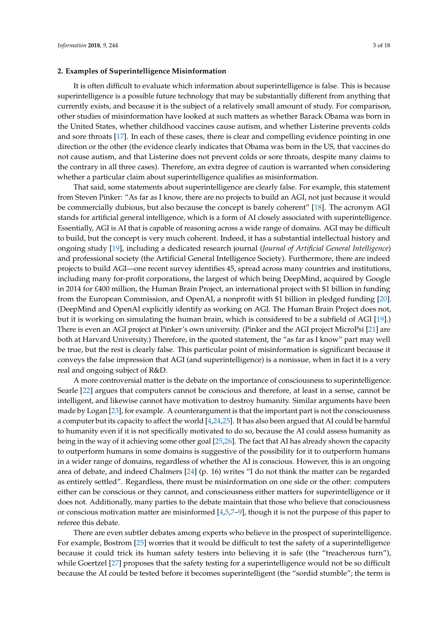# <span id="page-2-0"></span>**2. Examples of Superintelligence Misinformation**

It is often difficult to evaluate which information about superintelligence is false. This is because superintelligence is a possible future technology that may be substantially different from anything that currently exists, and because it is the subject of a relatively small amount of study. For comparison, other studies of misinformation have looked at such matters as whether Barack Obama was born in the United States, whether childhood vaccines cause autism, and whether Listerine prevents colds and sore throats [\[17\]](#page-14-11). In each of these cases, there is clear and compelling evidence pointing in one direction or the other (the evidence clearly indicates that Obama was born in the US, that vaccines do not cause autism, and that Listerine does not prevent colds or sore throats, despite many claims to the contrary in all three cases). Therefore, an extra degree of caution is warranted when considering whether a particular claim about superintelligence qualifies as misinformation.

That said, some statements about superintelligence are clearly false. For example, this statement from Steven Pinker: "As far as I know, there are no projects to build an AGI, not just because it would be commercially dubious, but also because the concept is barely coherent" [\[18\]](#page-15-0). The acronym AGI stands for artificial general intelligence, which is a form of AI closely associated with superintelligence. Essentially, AGI is AI that is capable of reasoning across a wide range of domains. AGI may be difficult to build, but the concept is very much coherent. Indeed, it has a substantial intellectual history and ongoing study [\[19\]](#page-15-1), including a dedicated research journal (*Journal of Artificial General Intelligence*) and professional society (the Artificial General Intelligence Society). Furthermore, there are indeed projects to build AGI—one recent survey identifies 45, spread across many countries and institutions, including many for-profit corporations, the largest of which being DeepMind, acquired by Google in 2014 for £400 million, the Human Brain Project, an international project with \$1 billion in funding from the European Commission, and OpenAI, a nonprofit with \$1 billion in pledged funding [\[20\]](#page-15-2). (DeepMind and OpenAI explicitly identify as working on AGI. The Human Brain Project does not, but it is working on simulating the human brain, which is considered to be a subfield of AGI [\[19\]](#page-15-1).) There is even an AGI project at Pinker's own university. (Pinker and the AGI project MicroPsi [\[21\]](#page-15-3) are both at Harvard University.) Therefore, in the quoted statement, the "as far as I know" part may well be true, but the rest is clearly false. This particular point of misinformation is significant because it conveys the false impression that AGI (and superintelligence) is a nonissue, when in fact it is a very real and ongoing subject of R&D.

A more controversial matter is the debate on the importance of consciousness to superintelligence. Searle [\[22\]](#page-15-4) argues that computers cannot be conscious and therefore, at least in a sense, cannot be intelligent, and likewise cannot have motivation to destroy humanity. Similar arguments have been made by Logan [\[23\]](#page-15-5), for example. A counterargument is that the important part is not the consciousness a computer but its capacity to affect the world [\[4,](#page-14-12)[24](#page-15-6)[,25\]](#page-15-7). It has also been argued that AI could be harmful to humanity even if it is not specifically motivated to do so, because the AI could assess humanity as being in the way of it achieving some other goal [\[25](#page-15-7)[,26\]](#page-15-8). The fact that AI has already shown the capacity to outperform humans in some domains is suggestive of the possibility for it to outperform humans in a wider range of domains, regardless of whether the AI is conscious. However, this is an ongoing area of debate, and indeed Chalmers [\[24\]](#page-15-6) (p. 16) writes "I do not think the matter can be regarded as entirely settled". Regardless, there must be misinformation on one side or the other: computers either can be conscious or they cannot, and consciousness either matters for superintelligence or it does not. Additionally, many parties to the debate maintain that those who believe that consciousness or conscious motivation matter are misinformed  $[4,5,7-9]$  $[4,5,7-9]$  $[4,5,7-9]$  $[4,5,7-9]$ , though it is not the purpose of this paper to referee this debate.

There are even subtler debates among experts who believe in the prospect of superintelligence. For example, Bostrom [\[25\]](#page-15-7) worries that it would be difficult to test the safety of a superintelligence because it could trick its human safety testers into believing it is safe (the "treacherous turn"), while Goertzel [\[27\]](#page-15-9) proposes that the safety testing for a superintelligence would not be so difficult because the AI could be tested before it becomes superintelligent (the "sordid stumble"; the term is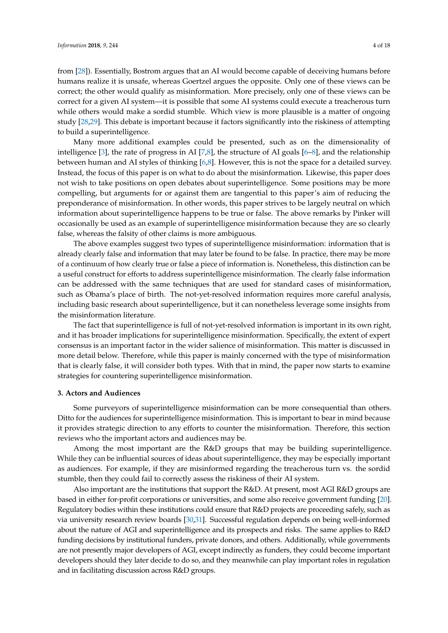from [\[28\]](#page-15-10)). Essentially, Bostrom argues that an AI would become capable of deceiving humans before humans realize it is unsafe, whereas Goertzel argues the opposite. Only one of these views can be correct; the other would qualify as misinformation. More precisely, only one of these views can be correct for a given AI system—it is possible that some AI systems could execute a treacherous turn while others would make a sordid stumble. Which view is more plausible is a matter of ongoing study [\[28](#page-15-10)[,29\]](#page-15-11). This debate is important because it factors significantly into the riskiness of attempting to build a superintelligence.

Many more additional examples could be presented, such as on the dimensionality of intelligence [\[3\]](#page-14-2), the rate of progress in AI [\[7](#page-14-14)[,8\]](#page-14-15), the structure of AI goals [\[6](#page-14-16)[–8\]](#page-14-15), and the relationship between human and AI styles of thinking [\[6](#page-14-16)[,8\]](#page-14-15). However, this is not the space for a detailed survey. Instead, the focus of this paper is on what to do about the misinformation. Likewise, this paper does not wish to take positions on open debates about superintelligence. Some positions may be more compelling, but arguments for or against them are tangential to this paper's aim of reducing the preponderance of misinformation. In other words, this paper strives to be largely neutral on which information about superintelligence happens to be true or false. The above remarks by Pinker will occasionally be used as an example of superintelligence misinformation because they are so clearly false, whereas the falsity of other claims is more ambiguous.

The above examples suggest two types of superintelligence misinformation: information that is already clearly false and information that may later be found to be false. In practice, there may be more of a continuum of how clearly true or false a piece of information is. Nonetheless, this distinction can be a useful construct for efforts to address superintelligence misinformation. The clearly false information can be addressed with the same techniques that are used for standard cases of misinformation, such as Obama's place of birth. The not-yet-resolved information requires more careful analysis, including basic research about superintelligence, but it can nonetheless leverage some insights from the misinformation literature.

The fact that superintelligence is full of not-yet-resolved information is important in its own right, and it has broader implications for superintelligence misinformation. Specifically, the extent of expert consensus is an important factor in the wider salience of misinformation. This matter is discussed in more detail below. Therefore, while this paper is mainly concerned with the type of misinformation that is clearly false, it will consider both types. With that in mind, the paper now starts to examine strategies for countering superintelligence misinformation.

# <span id="page-3-0"></span>**3. Actors and Audiences**

Some purveyors of superintelligence misinformation can be more consequential than others. Ditto for the audiences for superintelligence misinformation. This is important to bear in mind because it provides strategic direction to any efforts to counter the misinformation. Therefore, this section reviews who the important actors and audiences may be.

Among the most important are the R&D groups that may be building superintelligence. While they can be influential sources of ideas about superintelligence, they may be especially important as audiences. For example, if they are misinformed regarding the treacherous turn vs. the sordid stumble, then they could fail to correctly assess the riskiness of their AI system.

Also important are the institutions that support the R&D. At present, most AGI R&D groups are based in either for-profit corporations or universities, and some also receive government funding [\[20\]](#page-15-2). Regulatory bodies within these institutions could ensure that R&D projects are proceeding safely, such as via university research review boards [\[30](#page-15-12)[,31\]](#page-15-13). Successful regulation depends on being well-informed about the nature of AGI and superintelligence and its prospects and risks. The same applies to R&D funding decisions by institutional funders, private donors, and others. Additionally, while governments are not presently major developers of AGI, except indirectly as funders, they could become important developers should they later decide to do so, and they meanwhile can play important roles in regulation and in facilitating discussion across R&D groups.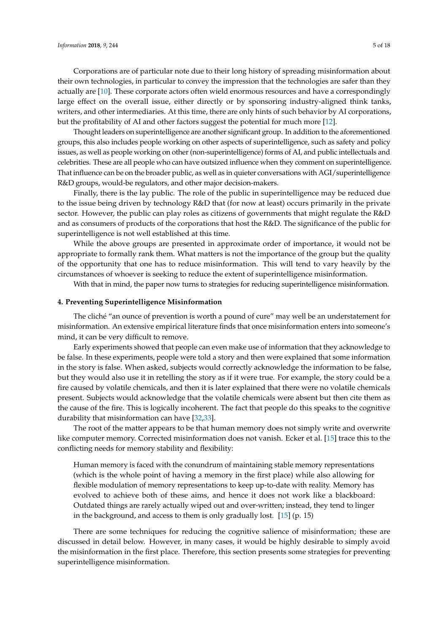Corporations are of particular note due to their long history of spreading misinformation about their own technologies, in particular to convey the impression that the technologies are safer than they actually are [\[10\]](#page-14-4). These corporate actors often wield enormous resources and have a correspondingly large effect on the overall issue, either directly or by sponsoring industry-aligned think tanks, writers, and other intermediaries. At this time, there are only hints of such behavior by AI corporations, but the profitability of AI and other factors suggest the potential for much more [\[12\]](#page-14-6).

Thought leaders on superintelligence are another significant group. In addition to the aforementioned groups, this also includes people working on other aspects of superintelligence, such as safety and policy issues, as well as people working on other (non-superintelligence) forms of AI, and public intellectuals and celebrities. These are all people who can have outsized influence when they comment on superintelligence. That influence can be on the broader public, as well as in quieter conversations with AGI/superintelligence R&D groups, would-be regulators, and other major decision-makers.

Finally, there is the lay public. The role of the public in superintelligence may be reduced due to the issue being driven by technology R&D that (for now at least) occurs primarily in the private sector. However, the public can play roles as citizens of governments that might regulate the R&D and as consumers of products of the corporations that host the R&D. The significance of the public for superintelligence is not well established at this time.

While the above groups are presented in approximate order of importance, it would not be appropriate to formally rank them. What matters is not the importance of the group but the quality of the opportunity that one has to reduce misinformation. This will tend to vary heavily by the circumstances of whoever is seeking to reduce the extent of superintelligence misinformation.

With that in mind, the paper now turns to strategies for reducing superintelligence misinformation.

# <span id="page-4-0"></span>**4. Preventing Superintelligence Misinformation**

The cliché "an ounce of prevention is worth a pound of cure" may well be an understatement for misinformation. An extensive empirical literature finds that once misinformation enters into someone's mind, it can be very difficult to remove.

Early experiments showed that people can even make use of information that they acknowledge to be false. In these experiments, people were told a story and then were explained that some information in the story is false. When asked, subjects would correctly acknowledge the information to be false, but they would also use it in retelling the story as if it were true. For example, the story could be a fire caused by volatile chemicals, and then it is later explained that there were no volatile chemicals present. Subjects would acknowledge that the volatile chemicals were absent but then cite them as the cause of the fire. This is logically incoherent. The fact that people do this speaks to the cognitive durability that misinformation can have [\[32](#page-15-14)[,33\]](#page-15-15).

The root of the matter appears to be that human memory does not simply write and overwrite like computer memory. Corrected misinformation does not vanish. Ecker et al. [\[15\]](#page-14-9) trace this to the conflicting needs for memory stability and flexibility:

Human memory is faced with the conundrum of maintaining stable memory representations (which is the whole point of having a memory in the first place) while also allowing for flexible modulation of memory representations to keep up-to-date with reality. Memory has evolved to achieve both of these aims, and hence it does not work like a blackboard: Outdated things are rarely actually wiped out and over-written; instead, they tend to linger in the background, and access to them is only gradually lost. [\[15\]](#page-14-9) (p. 15)

There are some techniques for reducing the cognitive salience of misinformation; these are discussed in detail below. However, in many cases, it would be highly desirable to simply avoid the misinformation in the first place. Therefore, this section presents some strategies for preventing superintelligence misinformation.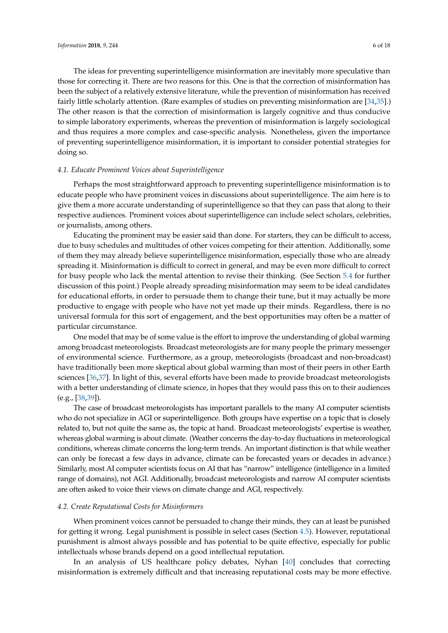The ideas for preventing superintelligence misinformation are inevitably more speculative than those for correcting it. There are two reasons for this. One is that the correction of misinformation has been the subject of a relatively extensive literature, while the prevention of misinformation has received fairly little scholarly attention. (Rare examples of studies on preventing misinformation are [\[34,](#page-15-16)[35\]](#page-15-17).) The other reason is that the correction of misinformation is largely cognitive and thus conducive to simple laboratory experiments, whereas the prevention of misinformation is largely sociological and thus requires a more complex and case-specific analysis. Nonetheless, given the importance of preventing superintelligence misinformation, it is important to consider potential strategies for doing so.

# *4.1. Educate Prominent Voices about Superintelligence*

Perhaps the most straightforward approach to preventing superintelligence misinformation is to educate people who have prominent voices in discussions about superintelligence. The aim here is to give them a more accurate understanding of superintelligence so that they can pass that along to their respective audiences. Prominent voices about superintelligence can include select scholars, celebrities, or journalists, among others.

Educating the prominent may be easier said than done. For starters, they can be difficult to access, due to busy schedules and multitudes of other voices competing for their attention. Additionally, some of them they may already believe superintelligence misinformation, especially those who are already spreading it. Misinformation is difficult to correct in general, and may be even more difficult to correct for busy people who lack the mental attention to revise their thinking. (See Section [5.4](#page-12-0) for further discussion of this point.) People already spreading misinformation may seem to be ideal candidates for educational efforts, in order to persuade them to change their tune, but it may actually be more productive to engage with people who have not yet made up their minds. Regardless, there is no universal formula for this sort of engagement, and the best opportunities may often be a matter of particular circumstance.

One model that may be of some value is the effort to improve the understanding of global warming among broadcast meteorologists. Broadcast meteorologists are for many people the primary messenger of environmental science. Furthermore, as a group, meteorologists (broadcast and non-broadcast) have traditionally been more skeptical about global warming than most of their peers in other Earth sciences [\[36](#page-15-18)[,37\]](#page-15-19). In light of this, several efforts have been made to provide broadcast meteorologists with a better understanding of climate science, in hopes that they would pass this on to their audiences (e.g., [\[38,](#page-15-20)[39\]](#page-15-21)).

The case of broadcast meteorologists has important parallels to the many AI computer scientists who do not specialize in AGI or superintelligence. Both groups have expertise on a topic that is closely related to, but not quite the same as, the topic at hand. Broadcast meteorologists' expertise is weather, whereas global warming is about climate. (Weather concerns the day-to-day fluctuations in meteorological conditions, whereas climate concerns the long-term trends. An important distinction is that while weather can only be forecast a few days in advance, climate can be forecasted years or decades in advance.) Similarly, most AI computer scientists focus on AI that has "narrow" intelligence (intelligence in a limited range of domains), not AGI. Additionally, broadcast meteorologists and narrow AI computer scientists are often asked to voice their views on climate change and AGI, respectively.

# *4.2. Create Reputational Costs for Misinformers*

When prominent voices cannot be persuaded to change their minds, they can at least be punished for getting it wrong. Legal punishment is possible in select cases (Section [4.5\)](#page-8-1). However, reputational punishment is almost always possible and has potential to be quite effective, especially for public intellectuals whose brands depend on a good intellectual reputation.

In an analysis of US healthcare policy debates, Nyhan [\[40\]](#page-15-22) concludes that correcting misinformation is extremely difficult and that increasing reputational costs may be more effective.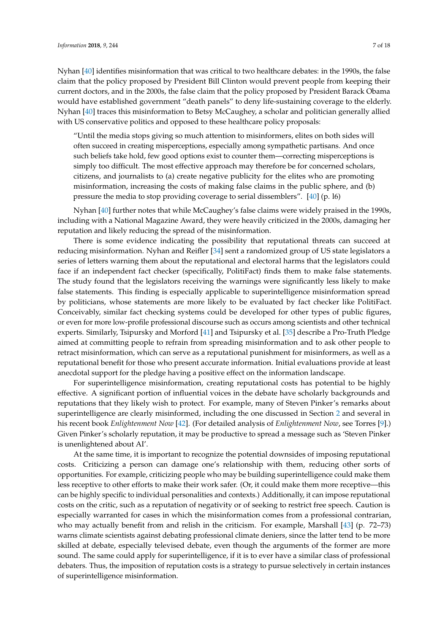Nyhan [\[40\]](#page-15-22) identifies misinformation that was critical to two healthcare debates: in the 1990s, the false claim that the policy proposed by President Bill Clinton would prevent people from keeping their current doctors, and in the 2000s, the false claim that the policy proposed by President Barack Obama would have established government "death panels" to deny life-sustaining coverage to the elderly. Nyhan [\[40\]](#page-15-22) traces this misinformation to Betsy McCaughey, a scholar and politician generally allied with US conservative politics and opposed to these healthcare policy proposals:

"Until the media stops giving so much attention to misinformers, elites on both sides will often succeed in creating misperceptions, especially among sympathetic partisans. And once such beliefs take hold, few good options exist to counter them—correcting misperceptions is simply too difficult. The most effective approach may therefore be for concerned scholars, citizens, and journalists to (a) create negative publicity for the elites who are promoting misinformation, increasing the costs of making false claims in the public sphere, and (b) pressure the media to stop providing coverage to serial dissemblers". [\[40\]](#page-15-22) (p. l6)

Nyhan [\[40\]](#page-15-22) further notes that while McCaughey's false claims were widely praised in the 1990s, including with a National Magazine Award, they were heavily criticized in the 2000s, damaging her reputation and likely reducing the spread of the misinformation.

There is some evidence indicating the possibility that reputational threats can succeed at reducing misinformation. Nyhan and Reifler [\[34\]](#page-15-16) sent a randomized group of US state legislators a series of letters warning them about the reputational and electoral harms that the legislators could face if an independent fact checker (specifically, PolitiFact) finds them to make false statements. The study found that the legislators receiving the warnings were significantly less likely to make false statements. This finding is especially applicable to superintelligence misinformation spread by politicians, whose statements are more likely to be evaluated by fact checker like PolitiFact. Conceivably, similar fact checking systems could be developed for other types of public figures, or even for more low-profile professional discourse such as occurs among scientists and other technical experts. Similarly, Tsipursky and Morford [\[41\]](#page-15-23) and Tsipursky et al. [\[35\]](#page-15-17) describe a Pro-Truth Pledge aimed at committing people to refrain from spreading misinformation and to ask other people to retract misinformation, which can serve as a reputational punishment for misinformers, as well as a reputational benefit for those who present accurate information. Initial evaluations provide at least anecdotal support for the pledge having a positive effect on the information landscape.

For superintelligence misinformation, creating reputational costs has potential to be highly effective. A significant portion of influential voices in the debate have scholarly backgrounds and reputations that they likely wish to protect. For example, many of Steven Pinker's remarks about superintelligence are clearly misinformed, including the one discussed in Section [2](#page-2-0) and several in his recent book *Enlightenment Now* [\[42\]](#page-16-0). (For detailed analysis of *Enlightenment Now*, see Torres [\[9\]](#page-14-3).) Given Pinker's scholarly reputation, it may be productive to spread a message such as 'Steven Pinker is unenlightened about AI'.

At the same time, it is important to recognize the potential downsides of imposing reputational costs. Criticizing a person can damage one's relationship with them, reducing other sorts of opportunities. For example, criticizing people who may be building superintelligence could make them less receptive to other efforts to make their work safer. (Or, it could make them more receptive—this can be highly specific to individual personalities and contexts.) Additionally, it can impose reputational costs on the critic, such as a reputation of negativity or of seeking to restrict free speech. Caution is especially warranted for cases in which the misinformation comes from a professional contrarian, who may actually benefit from and relish in the criticism. For example, Marshall [\[43\]](#page-16-1) (p. 72–73) warns climate scientists against debating professional climate deniers, since the latter tend to be more skilled at debate, especially televised debate, even though the arguments of the former are more sound. The same could apply for superintelligence, if it is to ever have a similar class of professional debaters. Thus, the imposition of reputation costs is a strategy to pursue selectively in certain instances of superintelligence misinformation.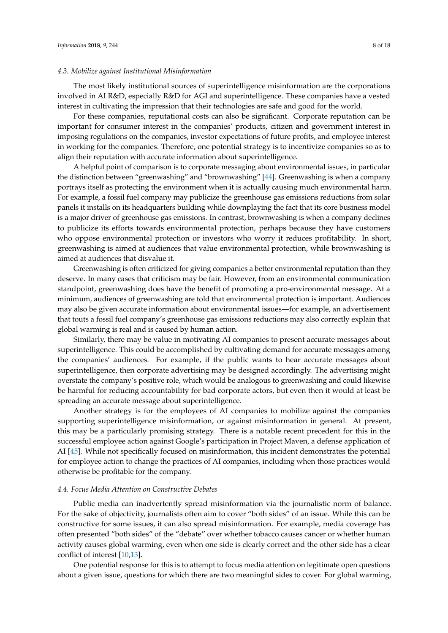# *4.3. Mobilize against Institutional Misinformation*

The most likely institutional sources of superintelligence misinformation are the corporations involved in AI R&D, especially R&D for AGI and superintelligence. These companies have a vested interest in cultivating the impression that their technologies are safe and good for the world.

For these companies, reputational costs can also be significant. Corporate reputation can be important for consumer interest in the companies' products, citizen and government interest in imposing regulations on the companies, investor expectations of future profits, and employee interest in working for the companies. Therefore, one potential strategy is to incentivize companies so as to align their reputation with accurate information about superintelligence.

A helpful point of comparison is to corporate messaging about environmental issues, in particular the distinction between "greenwashing" and "brownwashing" [\[44\]](#page-16-2). Greenwashing is when a company portrays itself as protecting the environment when it is actually causing much environmental harm. For example, a fossil fuel company may publicize the greenhouse gas emissions reductions from solar panels it installs on its headquarters building while downplaying the fact that its core business model is a major driver of greenhouse gas emissions. In contrast, brownwashing is when a company declines to publicize its efforts towards environmental protection, perhaps because they have customers who oppose environmental protection or investors who worry it reduces profitability. In short, greenwashing is aimed at audiences that value environmental protection, while brownwashing is aimed at audiences that disvalue it.

Greenwashing is often criticized for giving companies a better environmental reputation than they deserve. In many cases that criticism may be fair. However, from an environmental communication standpoint, greenwashing does have the benefit of promoting a pro-environmental message. At a minimum, audiences of greenwashing are told that environmental protection is important. Audiences may also be given accurate information about environmental issues—for example, an advertisement that touts a fossil fuel company's greenhouse gas emissions reductions may also correctly explain that global warming is real and is caused by human action.

Similarly, there may be value in motivating AI companies to present accurate messages about superintelligence. This could be accomplished by cultivating demand for accurate messages among the companies' audiences. For example, if the public wants to hear accurate messages about superintelligence, then corporate advertising may be designed accordingly. The advertising might overstate the company's positive role, which would be analogous to greenwashing and could likewise be harmful for reducing accountability for bad corporate actors, but even then it would at least be spreading an accurate message about superintelligence.

Another strategy is for the employees of AI companies to mobilize against the companies supporting superintelligence misinformation, or against misinformation in general. At present, this may be a particularly promising strategy. There is a notable recent precedent for this in the successful employee action against Google's participation in Project Maven, a defense application of AI [\[45\]](#page-16-3). While not specifically focused on misinformation, this incident demonstrates the potential for employee action to change the practices of AI companies, including when those practices would otherwise be profitable for the company.

#### *4.4. Focus Media Attention on Constructive Debates*

Public media can inadvertently spread misinformation via the journalistic norm of balance. For the sake of objectivity, journalists often aim to cover "both sides" of an issue. While this can be constructive for some issues, it can also spread misinformation. For example, media coverage has often presented "both sides" of the "debate" over whether tobacco causes cancer or whether human activity causes global warming, even when one side is clearly correct and the other side has a clear conflict of interest [\[10,](#page-14-4)[13\]](#page-14-7).

One potential response for this is to attempt to focus media attention on legitimate open questions about a given issue, questions for which there are two meaningful sides to cover. For global warming,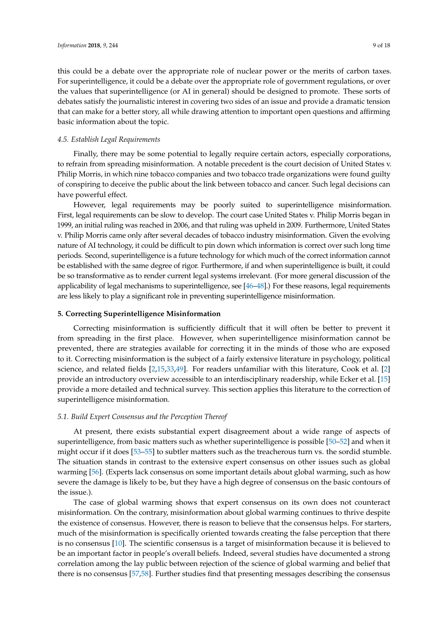this could be a debate over the appropriate role of nuclear power or the merits of carbon taxes. For superintelligence, it could be a debate over the appropriate role of government regulations, or over the values that superintelligence (or AI in general) should be designed to promote. These sorts of debates satisfy the journalistic interest in covering two sides of an issue and provide a dramatic tension that can make for a better story, all while drawing attention to important open questions and affirming basic information about the topic.

# <span id="page-8-1"></span>*4.5. Establish Legal Requirements*

Finally, there may be some potential to legally require certain actors, especially corporations, to refrain from spreading misinformation. A notable precedent is the court decision of United States v. Philip Morris, in which nine tobacco companies and two tobacco trade organizations were found guilty of conspiring to deceive the public about the link between tobacco and cancer. Such legal decisions can have powerful effect.

However, legal requirements may be poorly suited to superintelligence misinformation. First, legal requirements can be slow to develop. The court case United States v. Philip Morris began in 1999, an initial ruling was reached in 2006, and that ruling was upheld in 2009. Furthermore, United States v. Philip Morris came only after several decades of tobacco industry misinformation. Given the evolving nature of AI technology, it could be difficult to pin down which information is correct over such long time periods. Second, superintelligence is a future technology for which much of the correct information cannot be established with the same degree of rigor. Furthermore, if and when superintelligence is built, it could be so transformative as to render current legal systems irrelevant. (For more general discussion of the applicability of legal mechanisms to superintelligence, see [\[46](#page-16-4)[–48\]](#page-16-5).) For these reasons, legal requirements are less likely to play a significant role in preventing superintelligence misinformation.

# <span id="page-8-0"></span>**5. Correcting Superintelligence Misinformation**

Correcting misinformation is sufficiently difficult that it will often be better to prevent it from spreading in the first place. However, when superintelligence misinformation cannot be prevented, there are strategies available for correcting it in the minds of those who are exposed to it. Correcting misinformation is the subject of a fairly extensive literature in psychology, political science, and related fields [\[2](#page-14-1)[,15](#page-14-9)[,33](#page-15-15)[,49\]](#page-16-6). For readers unfamiliar with this literature, Cook et al. [\[2\]](#page-14-1) provide an introductory overview accessible to an interdisciplinary readership, while Ecker et al. [\[15\]](#page-14-9) provide a more detailed and technical survey. This section applies this literature to the correction of superintelligence misinformation.

#### *5.1. Build Expert Consensus and the Perception Thereof*

At present, there exists substantial expert disagreement about a wide range of aspects of superintelligence, from basic matters such as whether superintelligence is possible [\[50–](#page-16-7)[52\]](#page-16-8) and when it might occur if it does [\[53](#page-16-9)[–55\]](#page-16-10) to subtler matters such as the treacherous turn vs. the sordid stumble. The situation stands in contrast to the extensive expert consensus on other issues such as global warming [\[56\]](#page-16-11). (Experts lack consensus on some important details about global warming, such as how severe the damage is likely to be, but they have a high degree of consensus on the basic contours of the issue.).

The case of global warming shows that expert consensus on its own does not counteract misinformation. On the contrary, misinformation about global warming continues to thrive despite the existence of consensus. However, there is reason to believe that the consensus helps. For starters, much of the misinformation is specifically oriented towards creating the false perception that there is no consensus [\[10\]](#page-14-4). The scientific consensus is a target of misinformation because it is believed to be an important factor in people's overall beliefs. Indeed, several studies have documented a strong correlation among the lay public between rejection of the science of global warming and belief that there is no consensus [\[57,](#page-16-12)[58\]](#page-16-13). Further studies find that presenting messages describing the consensus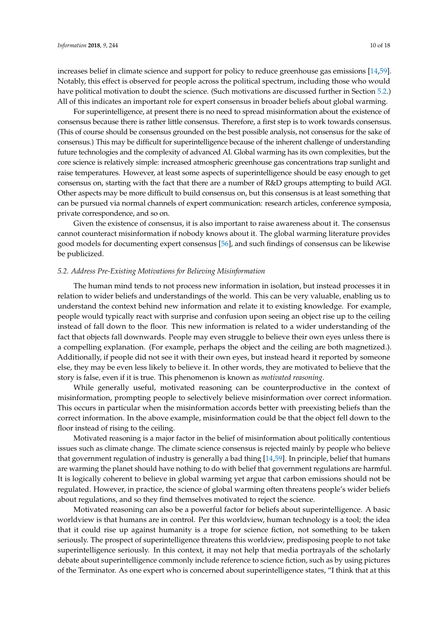increases belief in climate science and support for policy to reduce greenhouse gas emissions [\[14,](#page-14-8)[59\]](#page-16-14). Notably, this effect is observed for people across the political spectrum, including those who would have political motivation to doubt the science. (Such motivations are discussed further in Section [5.2.](#page-9-0)) All of this indicates an important role for expert consensus in broader beliefs about global warming.

For superintelligence, at present there is no need to spread misinformation about the existence of consensus because there is rather little consensus. Therefore, a first step is to work towards consensus. (This of course should be consensus grounded on the best possible analysis, not consensus for the sake of consensus.) This may be difficult for superintelligence because of the inherent challenge of understanding future technologies and the complexity of advanced AI. Global warming has its own complexities, but the core science is relatively simple: increased atmospheric greenhouse gas concentrations trap sunlight and raise temperatures. However, at least some aspects of superintelligence should be easy enough to get consensus on, starting with the fact that there are a number of R&D groups attempting to build AGI. Other aspects may be more difficult to build consensus on, but this consensus is at least something that can be pursued via normal channels of expert communication: research articles, conference symposia, private correspondence, and so on.

Given the existence of consensus, it is also important to raise awareness about it. The consensus cannot counteract misinformation if nobody knows about it. The global warming literature provides good models for documenting expert consensus [\[56\]](#page-16-11), and such findings of consensus can be likewise be publicized.

#### <span id="page-9-0"></span>*5.2. Address Pre-Existing Motivations for Believing Misinformation*

The human mind tends to not process new information in isolation, but instead processes it in relation to wider beliefs and understandings of the world. This can be very valuable, enabling us to understand the context behind new information and relate it to existing knowledge. For example, people would typically react with surprise and confusion upon seeing an object rise up to the ceiling instead of fall down to the floor. This new information is related to a wider understanding of the fact that objects fall downwards. People may even struggle to believe their own eyes unless there is a compelling explanation. (For example, perhaps the object and the ceiling are both magnetized.). Additionally, if people did not see it with their own eyes, but instead heard it reported by someone else, they may be even less likely to believe it. In other words, they are motivated to believe that the story is false, even if it is true. This phenomenon is known as *motivated reasoning*.

While generally useful, motivated reasoning can be counterproductive in the context of misinformation, prompting people to selectively believe misinformation over correct information. This occurs in particular when the misinformation accords better with preexisting beliefs than the correct information. In the above example, misinformation could be that the object fell down to the floor instead of rising to the ceiling.

Motivated reasoning is a major factor in the belief of misinformation about politically contentious issues such as climate change. The climate science consensus is rejected mainly by people who believe that government regulation of industry is generally a bad thing [\[14](#page-14-8)[,59\]](#page-16-14). In principle, belief that humans are warming the planet should have nothing to do with belief that government regulations are harmful. It is logically coherent to believe in global warming yet argue that carbon emissions should not be regulated. However, in practice, the science of global warming often threatens people's wider beliefs about regulations, and so they find themselves motivated to reject the science.

Motivated reasoning can also be a powerful factor for beliefs about superintelligence. A basic worldview is that humans are in control. Per this worldview, human technology is a tool; the idea that it could rise up against humanity is a trope for science fiction, not something to be taken seriously. The prospect of superintelligence threatens this worldview, predisposing people to not take superintelligence seriously. In this context, it may not help that media portrayals of the scholarly debate about superintelligence commonly include reference to science fiction, such as by using pictures of the Terminator. As one expert who is concerned about superintelligence states, "I think that at this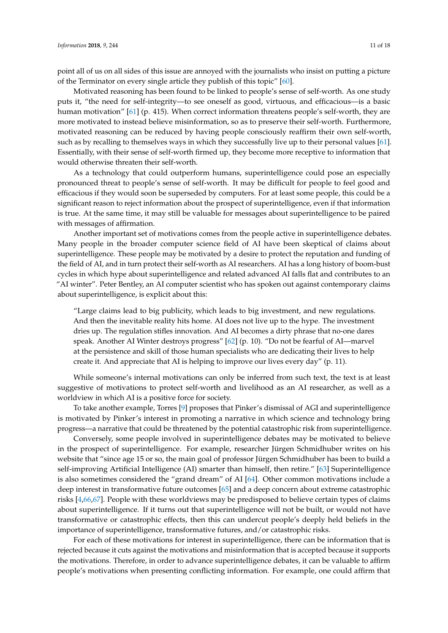point all of us on all sides of this issue are annoyed with the journalists who insist on putting a picture of the Terminator on every single article they publish of this topic" [\[60\]](#page-16-15).

Motivated reasoning has been found to be linked to people's sense of self-worth. As one study puts it, "the need for self-integrity—to see oneself as good, virtuous, and efficacious—is a basic human motivation" [\[61\]](#page-16-16) (p. 415). When correct information threatens people's self-worth, they are more motivated to instead believe misinformation, so as to preserve their self-worth. Furthermore, motivated reasoning can be reduced by having people consciously reaffirm their own self-worth, such as by recalling to themselves ways in which they successfully live up to their personal values [\[61\]](#page-16-16). Essentially, with their sense of self-worth firmed up, they become more receptive to information that would otherwise threaten their self-worth.

As a technology that could outperform humans, superintelligence could pose an especially pronounced threat to people's sense of self-worth. It may be difficult for people to feel good and efficacious if they would soon be superseded by computers. For at least some people, this could be a significant reason to reject information about the prospect of superintelligence, even if that information is true. At the same time, it may still be valuable for messages about superintelligence to be paired with messages of affirmation.

Another important set of motivations comes from the people active in superintelligence debates. Many people in the broader computer science field of AI have been skeptical of claims about superintelligence. These people may be motivated by a desire to protect the reputation and funding of the field of AI, and in turn protect their self-worth as AI researchers. AI has a long history of boom-bust cycles in which hype about superintelligence and related advanced AI falls flat and contributes to an "AI winter". Peter Bentley, an AI computer scientist who has spoken out against contemporary claims about superintelligence, is explicit about this:

"Large claims lead to big publicity, which leads to big investment, and new regulations. And then the inevitable reality hits home. AI does not live up to the hype. The investment dries up. The regulation stifles innovation. And AI becomes a dirty phrase that no-one dares speak. Another AI Winter destroys progress" [\[62\]](#page-16-17) (p. 10). "Do not be fearful of AI—marvel at the persistence and skill of those human specialists who are dedicating their lives to help create it. And appreciate that AI is helping to improve our lives every day" (p. 11).

While someone's internal motivations can only be inferred from such text, the text is at least suggestive of motivations to protect self-worth and livelihood as an AI researcher, as well as a worldview in which AI is a positive force for society.

To take another example, Torres [\[9\]](#page-14-3) proposes that Pinker's dismissal of AGI and superintelligence is motivated by Pinker's interest in promoting a narrative in which science and technology bring progress—a narrative that could be threatened by the potential catastrophic risk from superintelligence.

Conversely, some people involved in superintelligence debates may be motivated to believe in the prospect of superintelligence. For example, researcher Jürgen Schmidhuber writes on his website that "since age 15 or so, the main goal of professor Jürgen Schmidhuber has been to build a self-improving Artificial Intelligence (AI) smarter than himself, then retire." [\[63\]](#page-16-18) Superintelligence is also sometimes considered the "grand dream" of AI [\[64\]](#page-16-19). Other common motivations include a deep interest in transformative future outcomes [\[65\]](#page-16-20) and a deep concern about extreme catastrophic risks [\[4,](#page-14-12)[66,](#page-16-21)[67\]](#page-16-22). People with these worldviews may be predisposed to believe certain types of claims about superintelligence. If it turns out that superintelligence will not be built, or would not have transformative or catastrophic effects, then this can undercut people's deeply held beliefs in the importance of superintelligence, transformative futures, and/or catastrophic risks.

For each of these motivations for interest in superintelligence, there can be information that is rejected because it cuts against the motivations and misinformation that is accepted because it supports the motivations. Therefore, in order to advance superintelligence debates, it can be valuable to affirm people's motivations when presenting conflicting information. For example, one could affirm that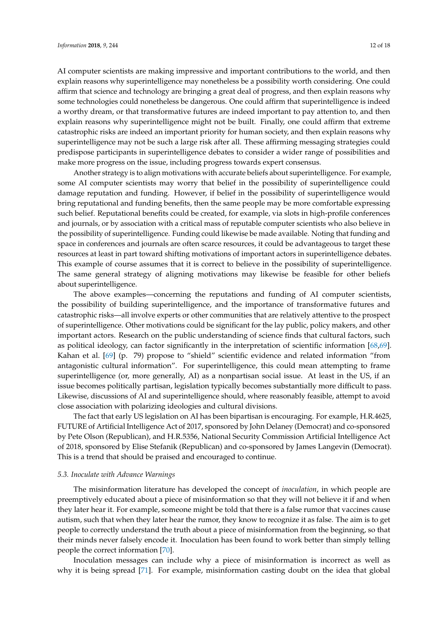AI computer scientists are making impressive and important contributions to the world, and then explain reasons why superintelligence may nonetheless be a possibility worth considering. One could affirm that science and technology are bringing a great deal of progress, and then explain reasons why some technologies could nonetheless be dangerous. One could affirm that superintelligence is indeed a worthy dream, or that transformative futures are indeed important to pay attention to, and then explain reasons why superintelligence might not be built. Finally, one could affirm that extreme catastrophic risks are indeed an important priority for human society, and then explain reasons why superintelligence may not be such a large risk after all. These affirming messaging strategies could predispose participants in superintelligence debates to consider a wider range of possibilities and make more progress on the issue, including progress towards expert consensus.

Another strategy is to align motivations with accurate beliefs about superintelligence. For example, some AI computer scientists may worry that belief in the possibility of superintelligence could damage reputation and funding. However, if belief in the possibility of superintelligence would bring reputational and funding benefits, then the same people may be more comfortable expressing such belief. Reputational benefits could be created, for example, via slots in high-profile conferences and journals, or by association with a critical mass of reputable computer scientists who also believe in the possibility of superintelligence. Funding could likewise be made available. Noting that funding and space in conferences and journals are often scarce resources, it could be advantageous to target these resources at least in part toward shifting motivations of important actors in superintelligence debates. This example of course assumes that it is correct to believe in the possibility of superintelligence. The same general strategy of aligning motivations may likewise be feasible for other beliefs about superintelligence.

The above examples—concerning the reputations and funding of AI computer scientists, the possibility of building superintelligence, and the importance of transformative futures and catastrophic risks—all involve experts or other communities that are relatively attentive to the prospect of superintelligence. Other motivations could be significant for the lay public, policy makers, and other important actors. Research on the public understanding of science finds that cultural factors, such as political ideology, can factor significantly in the interpretation of scientific information [\[68,](#page-16-23)[69\]](#page-16-24). Kahan et al. [\[69\]](#page-16-24) (p. 79) propose to "shield" scientific evidence and related information "from antagonistic cultural information". For superintelligence, this could mean attempting to frame superintelligence (or, more generally, AI) as a nonpartisan social issue. At least in the US, if an issue becomes politically partisan, legislation typically becomes substantially more difficult to pass. Likewise, discussions of AI and superintelligence should, where reasonably feasible, attempt to avoid close association with polarizing ideologies and cultural divisions.

The fact that early US legislation on AI has been bipartisan is encouraging. For example, H.R.4625, FUTURE of Artificial Intelligence Act of 2017, sponsored by John Delaney (Democrat) and co-sponsored by Pete Olson (Republican), and H.R.5356, National Security Commission Artificial Intelligence Act of 2018, sponsored by Elise Stefanik (Republican) and co-sponsored by James Langevin (Democrat). This is a trend that should be praised and encouraged to continue.

# *5.3. Inoculate with Advance Warnings*

The misinformation literature has developed the concept of *inoculation*, in which people are preemptively educated about a piece of misinformation so that they will not believe it if and when they later hear it. For example, someone might be told that there is a false rumor that vaccines cause autism, such that when they later hear the rumor, they know to recognize it as false. The aim is to get people to correctly understand the truth about a piece of misinformation from the beginning, so that their minds never falsely encode it. Inoculation has been found to work better than simply telling people the correct information [\[70\]](#page-17-0).

Inoculation messages can include why a piece of misinformation is incorrect as well as why it is being spread [\[71\]](#page-17-1). For example, misinformation casting doubt on the idea that global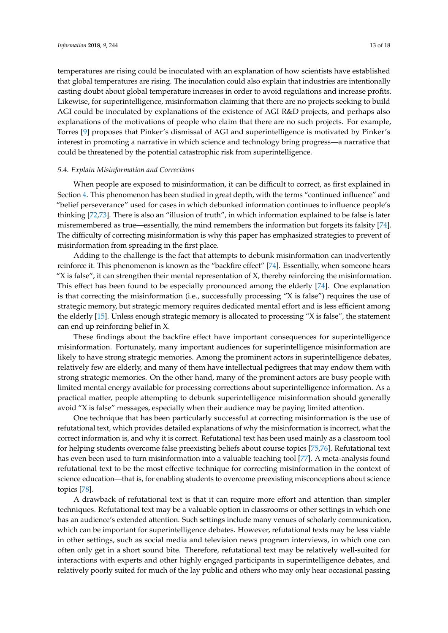temperatures are rising could be inoculated with an explanation of how scientists have established that global temperatures are rising. The inoculation could also explain that industries are intentionally casting doubt about global temperature increases in order to avoid regulations and increase profits. Likewise, for superintelligence, misinformation claiming that there are no projects seeking to build AGI could be inoculated by explanations of the existence of AGI R&D projects, and perhaps also explanations of the motivations of people who claim that there are no such projects. For example, Torres [\[9\]](#page-14-3) proposes that Pinker's dismissal of AGI and superintelligence is motivated by Pinker's interest in promoting a narrative in which science and technology bring progress—a narrative that could be threatened by the potential catastrophic risk from superintelligence.

#### <span id="page-12-0"></span>*5.4. Explain Misinformation and Corrections*

When people are exposed to misinformation, it can be difficult to correct, as first explained in Section [4.](#page-4-0) This phenomenon has been studied in great depth, with the terms "continued influence" and "belief perseverance" used for cases in which debunked information continues to influence people's thinking [\[72](#page-17-2)[,73\]](#page-17-3). There is also an "illusion of truth", in which information explained to be false is later misremembered as true—essentially, the mind remembers the information but forgets its falsity [\[74\]](#page-17-4). The difficulty of correcting misinformation is why this paper has emphasized strategies to prevent of misinformation from spreading in the first place.

Adding to the challenge is the fact that attempts to debunk misinformation can inadvertently reinforce it. This phenomenon is known as the "backfire effect" [\[74\]](#page-17-4). Essentially, when someone hears " $X$  is false", it can strengthen their mental representation of  $X$ , thereby reinforcing the misinformation. This effect has been found to be especially pronounced among the elderly [\[74\]](#page-17-4). One explanation is that correcting the misinformation (i.e., successfully processing "X is false") requires the use of strategic memory, but strategic memory requires dedicated mental effort and is less efficient among the elderly [\[15\]](#page-14-9). Unless enough strategic memory is allocated to processing "X is false", the statement can end up reinforcing belief in X.

These findings about the backfire effect have important consequences for superintelligence misinformation. Fortunately, many important audiences for superintelligence misinformation are likely to have strong strategic memories. Among the prominent actors in superintelligence debates, relatively few are elderly, and many of them have intellectual pedigrees that may endow them with strong strategic memories. On the other hand, many of the prominent actors are busy people with limited mental energy available for processing corrections about superintelligence information. As a practical matter, people attempting to debunk superintelligence misinformation should generally avoid "X is false" messages, especially when their audience may be paying limited attention.

One technique that has been particularly successful at correcting misinformation is the use of refutational text, which provides detailed explanations of why the misinformation is incorrect, what the correct information is, and why it is correct. Refutational text has been used mainly as a classroom tool for helping students overcome false preexisting beliefs about course topics [\[75](#page-17-5)[,76\]](#page-17-6). Refutational text has even been used to turn misinformation into a valuable teaching tool [\[77\]](#page-17-7). A meta-analysis found refutational text to be the most effective technique for correcting misinformation in the context of science education—that is, for enabling students to overcome preexisting misconceptions about science topics [\[78\]](#page-17-8).

A drawback of refutational text is that it can require more effort and attention than simpler techniques. Refutational text may be a valuable option in classrooms or other settings in which one has an audience's extended attention. Such settings include many venues of scholarly communication, which can be important for superintelligence debates. However, refutational texts may be less viable in other settings, such as social media and television news program interviews, in which one can often only get in a short sound bite. Therefore, refutational text may be relatively well-suited for interactions with experts and other highly engaged participants in superintelligence debates, and relatively poorly suited for much of the lay public and others who may only hear occasional passing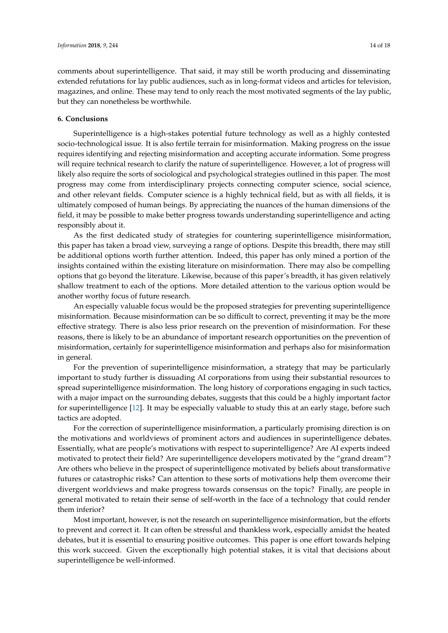comments about superintelligence. That said, it may still be worth producing and disseminating extended refutations for lay public audiences, such as in long-format videos and articles for television, magazines, and online. These may tend to only reach the most motivated segments of the lay public, but they can nonetheless be worthwhile.

#### <span id="page-13-0"></span>**6. Conclusions**

Superintelligence is a high-stakes potential future technology as well as a highly contested socio-technological issue. It is also fertile terrain for misinformation. Making progress on the issue requires identifying and rejecting misinformation and accepting accurate information. Some progress will require technical research to clarify the nature of superintelligence. However, a lot of progress will likely also require the sorts of sociological and psychological strategies outlined in this paper. The most progress may come from interdisciplinary projects connecting computer science, social science, and other relevant fields. Computer science is a highly technical field, but as with all fields, it is ultimately composed of human beings. By appreciating the nuances of the human dimensions of the field, it may be possible to make better progress towards understanding superintelligence and acting responsibly about it.

As the first dedicated study of strategies for countering superintelligence misinformation, this paper has taken a broad view, surveying a range of options. Despite this breadth, there may still be additional options worth further attention. Indeed, this paper has only mined a portion of the insights contained within the existing literature on misinformation. There may also be compelling options that go beyond the literature. Likewise, because of this paper's breadth, it has given relatively shallow treatment to each of the options. More detailed attention to the various option would be another worthy focus of future research.

An especially valuable focus would be the proposed strategies for preventing superintelligence misinformation. Because misinformation can be so difficult to correct, preventing it may be the more effective strategy. There is also less prior research on the prevention of misinformation. For these reasons, there is likely to be an abundance of important research opportunities on the prevention of misinformation, certainly for superintelligence misinformation and perhaps also for misinformation in general.

For the prevention of superintelligence misinformation, a strategy that may be particularly important to study further is dissuading AI corporations from using their substantial resources to spread superintelligence misinformation. The long history of corporations engaging in such tactics, with a major impact on the surrounding debates, suggests that this could be a highly important factor for superintelligence [\[12\]](#page-14-6). It may be especially valuable to study this at an early stage, before such tactics are adopted.

For the correction of superintelligence misinformation, a particularly promising direction is on the motivations and worldviews of prominent actors and audiences in superintelligence debates. Essentially, what are people's motivations with respect to superintelligence? Are AI experts indeed motivated to protect their field? Are superintelligence developers motivated by the "grand dream"? Are others who believe in the prospect of superintelligence motivated by beliefs about transformative futures or catastrophic risks? Can attention to these sorts of motivations help them overcome their divergent worldviews and make progress towards consensus on the topic? Finally, are people in general motivated to retain their sense of self-worth in the face of a technology that could render them inferior?

Most important, however, is not the research on superintelligence misinformation, but the efforts to prevent and correct it. It can often be stressful and thankless work, especially amidst the heated debates, but it is essential to ensuring positive outcomes. This paper is one effort towards helping this work succeed. Given the exceptionally high potential stakes, it is vital that decisions about superintelligence be well-informed.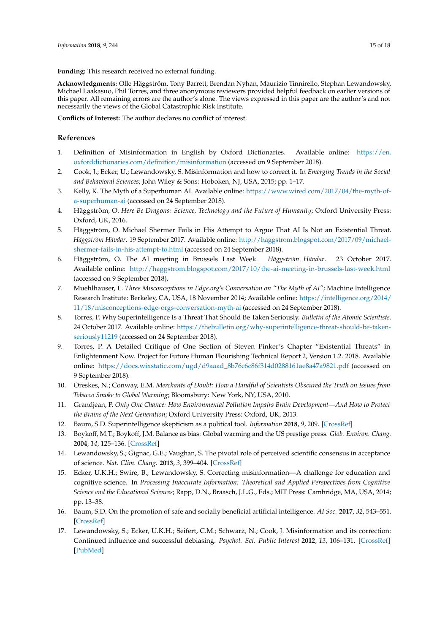**Funding:** This research received no external funding.

**Acknowledgments:** Olle Häggström, Tony Barrett, Brendan Nyhan, Maurizio Tinnirello, Stephan Lewandowsky, Michael Laakasuo, Phil Torres, and three anonymous reviewers provided helpful feedback on earlier versions of this paper. All remaining errors are the author's alone. The views expressed in this paper are the author's and not necessarily the views of the Global Catastrophic Risk Institute.

**Conflicts of Interest:** The author declares no conflict of interest.

# **References**

- <span id="page-14-0"></span>1. Definition of Misinformation in English by Oxford Dictionaries. Available online: [https://en.](https://en.oxforddictionaries.com/definition/misinformation) [oxforddictionaries.com/definition/misinformation](https://en.oxforddictionaries.com/definition/misinformation) (accessed on 9 September 2018).
- <span id="page-14-1"></span>2. Cook, J.; Ecker, U.; Lewandowsky, S. Misinformation and how to correct it. In *Emerging Trends in the Social and Behavioral Sciences*; John Wiley & Sons: Hoboken, NJ, USA, 2015; pp. 1–17.
- <span id="page-14-2"></span>3. Kelly, K. The Myth of a Superhuman AI. Available online: [https://www.wired.com/2017/04/the-myth-of](https://www.wired.com/2017/04/the-myth-of-a-superhuman-ai)[a-superhuman-ai](https://www.wired.com/2017/04/the-myth-of-a-superhuman-ai) (accessed on 24 September 2018).
- <span id="page-14-12"></span>4. Häggström, O. *Here Be Dragons: Science, Technology and the Future of Humanity*; Oxford University Press: Oxford, UK, 2016.
- <span id="page-14-13"></span>5. Häggström, O. Michael Shermer Fails in His Attempt to Argue That AI Is Not an Existential Threat. *Häggström Hävdar*. 19 September 2017. Available online: [http://haggstrom.blogspot.com/2017/09/michael](http://haggstrom.blogspot.com/2017/09/michael-shermer-fails-in-his-attempt-to.html)[shermer-fails-in-his-attempt-to.html](http://haggstrom.blogspot.com/2017/09/michael-shermer-fails-in-his-attempt-to.html) (accessed on 24 September 2018).
- <span id="page-14-16"></span>6. Häggström, O. The AI meeting in Brussels Last Week. *Häggström Hävdar*. 23 October 2017. Available online: <http://haggstrom.blogspot.com/2017/10/the-ai-meeting-in-brussels-last-week.html> (accessed on 9 September 2018).
- <span id="page-14-14"></span>7. Muehlhauser, L. *Three Misconceptions in Edge.org's Conversation on "The Myth of AI"*; Machine Intelligence Research Institute: Berkeley, CA, USA, 18 November 2014; Available online: [https://intelligence.org/2014/](https://intelligence.org/2014/11/18/misconceptions-edge-orgs-conversation-myth-ai) [11/18/misconceptions-edge-orgs-conversation-myth-ai](https://intelligence.org/2014/11/18/misconceptions-edge-orgs-conversation-myth-ai) (accessed on 24 September 2018).
- <span id="page-14-15"></span>8. Torres, P. Why Superintelligence Is a Threat That Should Be Taken Seriously. *Bulletin of the Atomic Scientists*. 24 October 2017. Available online: [https://thebulletin.org/why-superintelligence-threat-should-be-taken](https://thebulletin.org/why-superintelligence-threat-should-be-taken-seriously11219)[seriously11219](https://thebulletin.org/why-superintelligence-threat-should-be-taken-seriously11219) (accessed on 24 September 2018).
- <span id="page-14-3"></span>9. Torres, P. A Detailed Critique of One Section of Steven Pinker's Chapter "Existential Threats" in Enlightenment Now. Project for Future Human Flourishing Technical Report 2, Version 1.2. 2018. Available online: [https://docs.wixstatic.com/ugd/d9aaad\\_8b76c6c86f314d0288161ae8a47a9821.pdf](https://docs.wixstatic.com/ugd/d9aaad_8b76c6c86f314d0288161ae8a47a9821.pdf) (accessed on 9 September 2018).
- <span id="page-14-4"></span>10. Oreskes, N.; Conway, E.M. *Merchants of Doubt: How a Handful of Scientists Obscured the Truth on Issues from Tobacco Smoke to Global Warming*; Bloomsbury: New York, NY, USA, 2010.
- <span id="page-14-5"></span>11. Grandjean, P. *Only One Chance: How Environmental Pollution Impairs Brain Development—And How to Protect the Brains of the Next Generation*; Oxford University Press: Oxford, UK, 2013.
- <span id="page-14-6"></span>12. Baum, S.D. Superintelligence skepticism as a political tool. *Information* **2018**, *9*, 209. [\[CrossRef\]](http://dx.doi.org/10.3390/info9090209)
- <span id="page-14-7"></span>13. Boykoff, M.T.; Boykoff, J.M. Balance as bias: Global warming and the US prestige press. *Glob. Environ. Chang.* **2004**, *14*, 125–136. [\[CrossRef\]](http://dx.doi.org/10.1016/j.gloenvcha.2003.10.001)
- <span id="page-14-8"></span>14. Lewandowsky, S.; Gignac, G.E.; Vaughan, S. The pivotal role of perceived scientific consensus in acceptance of science. *Nat. Clim. Chang.* **2013**, *3*, 399–404. [\[CrossRef\]](http://dx.doi.org/10.1038/nclimate1720)
- <span id="page-14-9"></span>15. Ecker, U.K.H.; Swire, B.; Lewandowsky, S. Correcting misinformation—A challenge for education and cognitive science. In *Processing Inaccurate Information: Theoretical and Applied Perspectives from Cognitive Science and the Educational Sciences*; Rapp, D.N., Braasch, J.L.G., Eds.; MIT Press: Cambridge, MA, USA, 2014; pp. 13–38.
- <span id="page-14-10"></span>16. Baum, S.D. On the promotion of safe and socially beneficial artificial intelligence. *AI Soc.* **2017**, *32*, 543–551. [\[CrossRef\]](http://dx.doi.org/10.1007/s00146-016-0677-0)
- <span id="page-14-11"></span>17. Lewandowsky, S.; Ecker, U.K.H.; Seifert, C.M.; Schwarz, N.; Cook, J. Misinformation and its correction: Continued influence and successful debiasing. *Psychol. Sci. Public Interest* **2012**, *13*, 106–131. [\[CrossRef\]](http://dx.doi.org/10.1177/1529100612451018) [\[PubMed\]](http://www.ncbi.nlm.nih.gov/pubmed/26173286)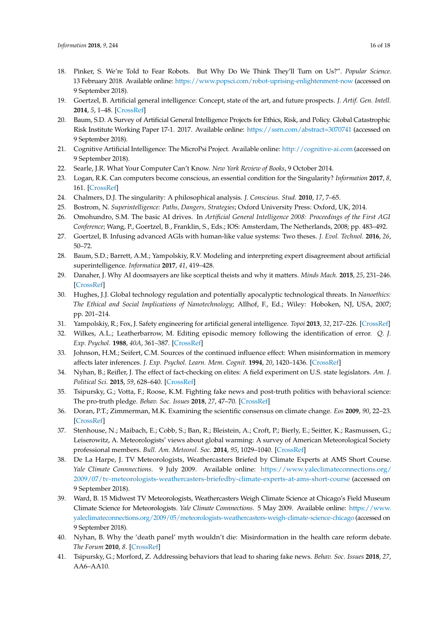- <span id="page-15-0"></span>18. Pinker, S. We're Told to Fear Robots. But Why Do We Think They'll Turn on Us?". *Popular Science*. 13 February 2018. Available online: <https://www.popsci.com/robot-uprising-enlightenment-now> (accessed on 9 September 2018).
- <span id="page-15-1"></span>19. Goertzel, B. Artificial general intelligence: Concept, state of the art, and future prospects. *J. Artif. Gen. Intell.* **2014**, *5*, 1–48. [\[CrossRef\]](http://dx.doi.org/10.2478/jagi-2014-0001)
- <span id="page-15-2"></span>20. Baum, S.D. A Survey of Artificial General Intelligence Projects for Ethics, Risk, and Policy. Global Catastrophic Risk Institute Working Paper 17-1. 2017. Available online: <https://ssrn.com/abstract=3070741> (accessed on 9 September 2018).
- <span id="page-15-3"></span>21. Cognitive Artificial Intelligence: The MicroPsi Project. Available online: <http://cognitive-ai.com> (accessed on 9 September 2018).
- <span id="page-15-4"></span>22. Searle, J.R. What Your Computer Can't Know. *New York Review of Books*, 9 October 2014.
- <span id="page-15-5"></span>23. Logan, R.K. Can computers become conscious, an essential condition for the Singularity? *Information* **2017**, *8*, 161. [\[CrossRef\]](http://dx.doi.org/10.3390/info8040161)
- <span id="page-15-6"></span>24. Chalmers, D.J. The singularity: A philosophical analysis. *J. Conscious. Stud.* **2010**, *17*, 7–65.
- <span id="page-15-7"></span>25. Bostrom, N. *Superintelligence: Paths, Dangers, Strategies*; Oxford University Press: Oxford, UK, 2014.
- <span id="page-15-8"></span>26. Omohundro, S.M. The basic AI drives. In *Artificial General Intelligence 2008: Proceedings of the First AGI Conference*; Wang, P., Goertzel, B., Franklin, S., Eds.; IOS: Amsterdam, The Netherlands, 2008; pp. 483–492.
- <span id="page-15-9"></span>27. Goertzel, B. Infusing advanced AGIs with human-like value systems: Two theses. *J. Evol. Technol.* **2016**, *26*, 50–72.
- <span id="page-15-10"></span>28. Baum, S.D.; Barrett, A.M.; Yampolskiy, R.V. Modeling and interpreting expert disagreement about artificial superintelligence. *Informatica* **2017**, *41*, 419–428.
- <span id="page-15-11"></span>29. Danaher, J. Why AI doomsayers are like sceptical theists and why it matters. *Minds Mach.* **2015**, *25*, 231–246. [\[CrossRef\]](http://dx.doi.org/10.1007/s11023-015-9365-y)
- <span id="page-15-12"></span>30. Hughes, J.J. Global technology regulation and potentially apocalyptic technological threats. In *Nanoethics: The Ethical and Social Implications of Nanotechnology*; Allhof, F., Ed.; Wiley: Hoboken, NJ, USA, 2007; pp. 201–214.
- <span id="page-15-13"></span>31. Yampolskiy, R.; Fox, J. Safety engineering for artificial general intelligence. *Topoi* **2013**, *32*, 217–226. [\[CrossRef\]](http://dx.doi.org/10.1007/s11245-012-9128-9)
- <span id="page-15-14"></span>32. Wilkes, A.L.; Leatherbarrow, M. Editing episodic memory following the identification of error. *Q. J. Exp. Psychol.* **1988**, *40A*, 361–387. [\[CrossRef\]](http://dx.doi.org/10.1080/02724988843000168)
- <span id="page-15-15"></span>33. Johnson, H.M.; Seifert, C.M. Sources of the continued influence effect: When misinformation in memory affects later inferences. *J. Exp. Psychol. Learn. Mem. Cognit.* **1994**, *20*, 1420–1436. [\[CrossRef\]](http://dx.doi.org/10.1037/0278-7393.20.6.1420)
- <span id="page-15-16"></span>34. Nyhan, B.; Reifler, J. The effect of fact-checking on elites: A field experiment on U.S. state legislators. *Am. J. Political Sci.* **2015**, *59*, 628–640. [\[CrossRef\]](http://dx.doi.org/10.1111/ajps.12162)
- <span id="page-15-17"></span>35. Tsipursky, G.; Votta, F.; Roose, K.M. Fighting fake news and post-truth politics with behavioral science: The pro-truth pledge. *Behav. Soc. Issues* **2018**, *27*, 47–70. [\[CrossRef\]](http://dx.doi.org/10.2139/ssrn.3138238)
- <span id="page-15-18"></span>36. Doran, P.T.; Zimmerman, M.K. Examining the scientific consensus on climate change. *Eos* **2009**, *90*, 22–23. [\[CrossRef\]](http://dx.doi.org/10.1029/2009EO030002)
- <span id="page-15-19"></span>37. Stenhouse, N.; Maibach, E.; Cobb, S.; Ban, R.; Bleistein, A.; Croft, P.; Bierly, E.; Seitter, K.; Rasmussen, G.; Leiserowitz, A. Meteorologists' views about global warming: A survey of American Meteorological Society professional members. *Bull. Am. Meteorol. Soc.* **2014**, *95*, 1029–1040. [\[CrossRef\]](http://dx.doi.org/10.1175/BAMS-D-13-00091.1)
- <span id="page-15-20"></span>38. De La Harpe, J. TV Meteorologists, Weathercasters Briefed by Climate Experts at AMS Short Course. *Yale Climate Connnections*. 9 July 2009. Available online: [https://www.yaleclimateconnections.org/](https://www.yaleclimateconnections.org/2009/07/tv-meteorologists-weathercasters-briefedby-climate-experts-at-ams-short-course) [2009/07/tv-meteorologists-weathercasters-briefedby-climate-experts-at-ams-short-course](https://www.yaleclimateconnections.org/2009/07/tv-meteorologists-weathercasters-briefedby-climate-experts-at-ams-short-course) (accessed on 9 September 2018).
- <span id="page-15-21"></span>39. Ward, B. 15 Midwest TV Meteorologists, Weathercasters Weigh Climate Science at Chicago's Field Museum Climate Science for Meteorologists. *Yale Climate Connnections*. 5 May 2009. Available online: [https://www.](https://www.yaleclimateconnections.org/2009/05/meteorologists-weathercasters-weigh-climate-science-chicago) [yaleclimateconnections.org/2009/05/meteorologists-weathercasters-weigh-climate-science-chicago](https://www.yaleclimateconnections.org/2009/05/meteorologists-weathercasters-weigh-climate-science-chicago) (accessed on 9 September 2018).
- <span id="page-15-22"></span>40. Nyhan, B. Why the 'death panel' myth wouldn't die: Misinformation in the health care reform debate. *The Forum* **2010**, *8*. [\[CrossRef\]](http://dx.doi.org/10.2202/1540-8884.1354)
- <span id="page-15-23"></span>41. Tsipursky, G.; Morford, Z. Addressing behaviors that lead to sharing fake news. *Behav. Soc. Issues* **2018**, *27*, AA6–AA10.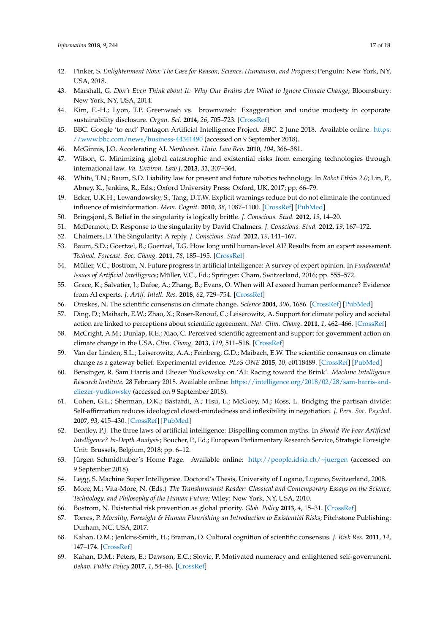- <span id="page-16-0"></span>42. Pinker, S. *Enlightenment Now: The Case for Reason, Science, Humanism, and Progress*; Penguin: New York, NY, USA, 2018.
- <span id="page-16-1"></span>43. Marshall, G. *Don't Even Think about It: Why Our Brains Are Wired to Ignore Climate Change*; Bloomsbury: New York, NY, USA, 2014.
- <span id="page-16-2"></span>44. Kim, E.-H.; Lyon, T.P. Greenwash vs. brownwash: Exaggeration and undue modesty in corporate sustainability disclosure. *Organ. Sci.* **2014**, *26*, 705–723. [\[CrossRef\]](http://dx.doi.org/10.1287/orsc.2014.0949)
- <span id="page-16-3"></span>45. BBC. Google 'to end' Pentagon Artificial Intelligence Project. *BBC*. 2 June 2018. Available online: [https:](https://www.bbc.com/news/business-44341490) [//www.bbc.com/news/business-44341490](https://www.bbc.com/news/business-44341490) (accessed on 9 September 2018).
- <span id="page-16-4"></span>46. McGinnis, J.O. Accelerating AI. *Northwest. Univ. Law Rev.* **2010**, *104*, 366–381.
- 47. Wilson, G. Minimizing global catastrophic and existential risks from emerging technologies through international law. *Va. Environ. Law J.* **2013**, *31*, 307–364.
- <span id="page-16-5"></span>48. White, T.N.; Baum, S.D. Liability law for present and future robotics technology. In *Robot Ethics 2.0*; Lin, P., Abney, K., Jenkins, R., Eds.; Oxford University Press: Oxford, UK, 2017; pp. 66–79.
- <span id="page-16-6"></span>49. Ecker, U.K.H.; Lewandowsky, S.; Tang, D.T.W. Explicit warnings reduce but do not eliminate the continued influence of misinformation. *Mem. Cognit.* **2010**, *38*, 1087–1100. [\[CrossRef\]](http://dx.doi.org/10.3758/MC.38.8.1087) [\[PubMed\]](http://www.ncbi.nlm.nih.gov/pubmed/21156872)
- <span id="page-16-7"></span>50. Bringsjord, S. Belief in the singularity is logically brittle. *J. Conscious. Stud.* **2012**, *19*, 14–20.
- 51. McDermott, D. Response to the singularity by David Chalmers. *J. Conscious. Stud.* **2012**, *19*, 167–172.
- <span id="page-16-9"></span><span id="page-16-8"></span>52. Chalmers, D. The Singularity: A reply. *J. Conscious. Stud.* **2012**, *19*, 141–167.
- 53. Baum, S.D.; Goertzel, B.; Goertzel, T.G. How long until human-level AI? Results from an expert assessment. *Technol. Forecast. Soc. Chang.* **2011**, *78*, 185–195. [\[CrossRef\]](http://dx.doi.org/10.1016/j.techfore.2010.09.006)
- 54. Müller, V.C.; Bostrom, N. Future progress in artificial intelligence: A survey of expert opinion. In *Fundamental Issues of Artificial Intelligence*; Müller, V.C., Ed.; Springer: Cham, Switzerland, 2016; pp. 555–572.
- <span id="page-16-10"></span>55. Grace, K.; Salvatier, J.; Dafoe, A.; Zhang, B.; Evans, O. When will AI exceed human performance? Evidence from AI experts. *J. Artif. Intell. Res.* **2018**, *62*, 729–754. [\[CrossRef\]](http://dx.doi.org/10.1613/jair.1.11222)
- <span id="page-16-11"></span>56. Oreskes, N. The scientific consensus on climate change. *Science* **2004**, *306*, 1686. [\[CrossRef\]](http://dx.doi.org/10.1126/science.1103618) [\[PubMed\]](http://www.ncbi.nlm.nih.gov/pubmed/15576594)
- <span id="page-16-12"></span>57. Ding, D.; Maibach, E.W.; Zhao, X.; Roser-Renouf, C.; Leiserowitz, A. Support for climate policy and societal action are linked to perceptions about scientific agreement. *Nat. Clim. Chang.* **2011**, *1*, 462–466. [\[CrossRef\]](http://dx.doi.org/10.1038/nclimate1295)
- <span id="page-16-13"></span>58. McCright, A.M.; Dunlap, R.E.; Xiao, C. Perceived scientific agreement and support for government action on climate change in the USA. *Clim. Chang.* **2013**, *119*, 511–518. [\[CrossRef\]](http://dx.doi.org/10.1007/s10584-013-0704-9)
- <span id="page-16-14"></span>59. Van der Linden, S.L.; Leiserowitz, A.A.; Feinberg, G.D.; Maibach, E.W. The scientific consensus on climate change as a gateway belief: Experimental evidence. *PLoS ONE* **2015**, *10*, e0118489. [\[CrossRef\]](http://dx.doi.org/10.1371/journal.pone.0118489) [\[PubMed\]](http://www.ncbi.nlm.nih.gov/pubmed/25714347)
- <span id="page-16-15"></span>60. Bensinger, R. Sam Harris and Eliezer Yudkowsky on 'AI: Racing toward the Brink'. *Machine Intelligence Research Institute*. 28 February 2018. Available online: [https://intelligence.org/2018/02/28/sam-harris-and](https://intelligence.org/2018/02/28/sam-harris-and-eliezer-yudkowsky)[eliezer-yudkowsky](https://intelligence.org/2018/02/28/sam-harris-and-eliezer-yudkowsky) (accessed on 9 September 2018).
- <span id="page-16-16"></span>61. Cohen, G.L.; Sherman, D.K.; Bastardi, A.; Hsu, L.; McGoey, M.; Ross, L. Bridging the partisan divide: Self-affirmation reduces ideological closed-mindedness and inflexibility in negotiation. *J. Pers. Soc. Psychol.* **2007**, *93*, 415–430. [\[CrossRef\]](http://dx.doi.org/10.1037/0022-3514.93.3.415) [\[PubMed\]](http://www.ncbi.nlm.nih.gov/pubmed/17723057)
- <span id="page-16-17"></span>62. Bentley, P.J. The three laws of artificial intelligence: Dispelling common myths. In *Should We Fear Artificial Intelligence? In-Depth Analysis*; Boucher, P., Ed.; European Parliamentary Research Service, Strategic Foresight Unit: Brussels, Belgium, 2018; pp. 6–12.
- <span id="page-16-18"></span>63. Jürgen Schmidhuber's Home Page. Available online: <http://people.idsia.ch/~juergen> (accessed on 9 September 2018).
- <span id="page-16-20"></span><span id="page-16-19"></span>64. Legg, S. Machine Super Intelligence. Doctoral's Thesis, University of Lugano, Lugano, Switzerland, 2008.
- 65. More, M.; Vita-More, N. (Eds.) *The Transhumanist Reader: Classical and Contemporary Essays on the Science, Technology, and Philosophy of the Human Future*; Wiley: New York, NY, USA, 2010.
- <span id="page-16-21"></span>66. Bostrom, N. Existential risk prevention as global priority. *Glob. Policy* **2013**, *4*, 15–31. [\[CrossRef\]](http://dx.doi.org/10.1111/1758-5899.12002)
- <span id="page-16-22"></span>67. Torres, P. *Morality, Foresight & Human Flourishing an Introduction to Existential Risks*; Pitchstone Publishing: Durham, NC, USA, 2017.
- <span id="page-16-23"></span>68. Kahan, D.M.; Jenkins-Smith, H.; Braman, D. Cultural cognition of scientific consensus. *J. Risk Res.* **2011**, *14*, 147–174. [\[CrossRef\]](http://dx.doi.org/10.1080/13669877.2010.511246)
- <span id="page-16-24"></span>69. Kahan, D.M.; Peters, E.; Dawson, E.C.; Slovic, P. Motivated numeracy and enlightened self-government. *Behav. Public Policy* **2017**, *1*, 54–86. [\[CrossRef\]](http://dx.doi.org/10.1017/bpp.2016.2)